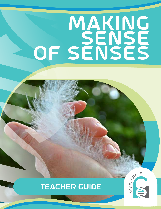# making SENSE OF SENSES

# teacher guide



**ACTIVITY 2 | MAKING SENSE OF SENSES | 1**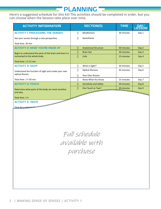## planning

**Here's a suggested schedule for this kit! The activities should be completed in order, but you can choose when the lessons take place over time.**

| <b>ACTIVITY INFORMATION</b>                                                              |   | <b>SECTION(S)</b>           | <b>TIME</b> | DAY/<br>LESSON |
|------------------------------------------------------------------------------------------|---|-----------------------------|-------------|----------------|
| <b>ACTIVITY I: PROCESSING THE SENSES</b>                                                 | П | Mindfulness                 | 30 minutes  | Day 1          |
| See your senses through a new perspective.                                               | П | Synesthesia                 |             |                |
| Total time: 30 min                                                                       |   |                             |             |                |
| <b>ACTIVITY 2: WHAT YOU'RE MADE OF</b>                                                   | П | <b>Anatomical Structure</b> | 30 minutes  | Day 2          |
| Begin to understand the parts of the brain and how it is<br>connected to the whole body. | Н | <b>Brain Hat</b>            | 30 minutes  | Day 3          |
|                                                                                          | Н | <b>Cells</b>                | 15 minutes  | Day 4          |
| Total time: 1 h 15 min                                                                   |   |                             |             |                |
| <b>ACTIVITY 3: SIGHT</b>                                                                 | П | What is Sight?              | 30 minutes  | Day 5          |
| Understand the function of sight and create your own<br>optical illusion.                | П | <b>Optical Illusions</b>    | 45 minutes  | Day 6          |
|                                                                                          | П | Your Own Illusion           |             |                |
| Total time: 1 h 30 min                                                                   | П | Show What You Know          | 15 minutes  | Day 7          |
| <b>ACTIVITY 4: TOUCH</b>                                                                 | П | Sensitivity and Safety      | 30 minutes  | Day 8          |
| Determine what parts of the body are most sensitive                                      | П | One Touch or Two?           | 30 minutes  | Day 9          |
| and why.                                                                                 |   |                             |             |                |
| Total time: 1 h                                                                          |   |                             |             |                |
| <b>ACTIVITY 5: TASTE</b>                                                                 |   |                             |             |                |

Time for a taste to

 $\mathcal{L}$  $shabola$  $\mathcal{O}(n) \cup \mathcal{O}(n)$ available with purchase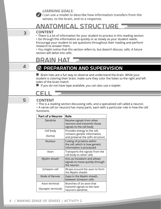*LEARNING GOALS:* 

**I** can use a model to describe how information transfers from the **senses, to the brain, and to a response.**

## Anatomical Structure

#### **CONTENT**

• There is a lot of information for your student to process in this reading section. • Go through this information as quickly or as slowly as your student needs. Encourage your student to ask questions throughout their reading and perform research to answer them.

• You might notice that this section refers to, but doesn't discuss, cells. A future section will delve into cells.

## Brain Hat

## 4

5

3

## preparation and supervision

 $\blacksquare$  Brain hats are a fun way to observe and understand the brain. While your student is coloring their brain, make sure they color the lobes so the right and left sides of the brain match.

 $\blacksquare$  If you do not have tape available, you can also use a stapler.

## cell

#### **CONTENT**

• This is a reading section discussing cells, and a specialized cell called a neuron.

• A nerve cell (or neuron) has many parts, each with a particular role in how the cell functions.

| <b>Part of a Neuron</b> | Role                                                                                    |
|-------------------------|-----------------------------------------------------------------------------------------|
| Dendrite                | Receive signals from other<br>neurons and transmits those<br>signals to the cell body   |
| Cell body               | Provides energy to the cell,                                                            |
| (Soma)                  | contains genetic information,<br>and preserve the cell's structure                      |
| <b>Nucleus</b>          | Coding of proteins within<br>the cell, which is how genetic<br>information is processed |
| Axon                    | Transports the signals from the<br>cell body to other cells                             |
| Myelin sheath           | Acts as insulation and allows<br>signals to move quickly through<br>the neuron          |
| Schwann cell            | Wraps around the axon to form<br>the Myelin sheath                                      |
| Node of Ranvier         | Gaps in the Myelin sheath,<br>between Schwann cells                                     |
| Axon terminal           | Branches of an axon that                                                                |
| (Synaptic terminal)     | transmit signals to the next<br>neuron's dendrite.                                      |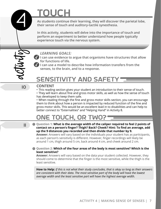# Touch

**As students continue their learning, they will discover the parietal lobe, their sense of touch and auditory-tactile synesthesia.** 

**In this activity, students will delve into the importance of touch and perform an experiment to better understand how people typically experience touch via the nervous system.**

### *LEARNING GOALS:*

**I** can use evidence to argue that organisms have structures that allow **for functions of life.**

**I can use a model to describe how information transfers from the senses, to the brain, and to a response.**

# SENSITIVITY AND SAFET

#### 10 **CONTENT**

• This reading section gives your student an introduction to their sense of touch.

• They will learn about fine and gross motor skills, as well as how the sense of touch has developed to keep them safe.

• When reading through the fine and gross motor skills section, you can encourage them to think about how a person is impacted by reduced function of the fine and gross motor skills. This would be an excellent lead in to disabilities and can help to better connect to "Externalities" and "Helping Hand" in Activity 8.

## ONE TOUCH, OR TWO?

11

4

**Question 1: What is the average width of the caliper required to feel 2 points of**  contact on a person's finger? Thigh? Back? Cheek? Hint: To find an average, add **up the 9 distances you recorded and then divide that number by 9.**

**Answer:** Answers will vary based on the individuals your student has as participants, as each person's sensitivity is different. However, finger recordings will likely be around 1 cm, thigh around 5 cm, back around 4 cm, and cheek around 2 cm.

#### **Question 2: Which of the four areas of the body is most sensitive? Which is the least sensitive?**

**Answer:** Answers will vary based on the data your student collected. However, they should come to determine that the finger is the most sensitive, while the thigh is the least sensitive.

**How to Help:** *If this is not what their study concludes, that is okay so long as their answers are consistent with their data. The most sensitive part of the body will have the lowest average width and the least sensitive part will have the highest average width.*